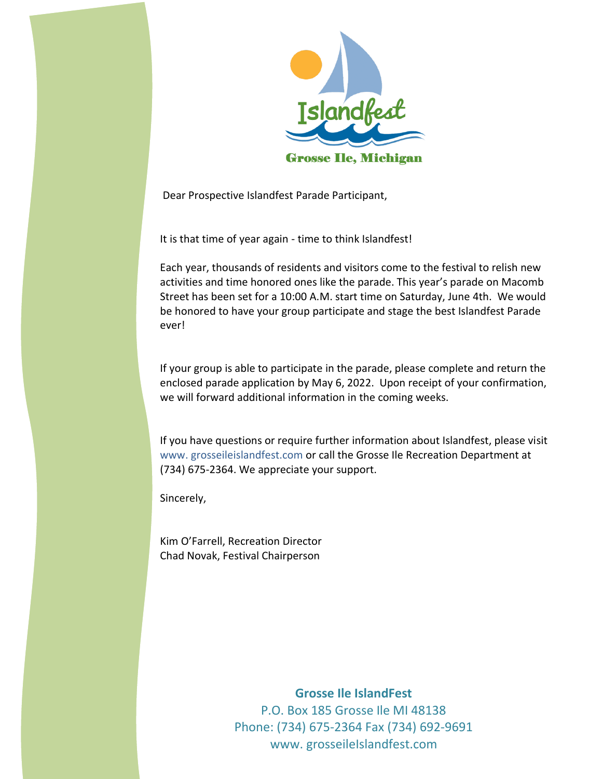

Dear Prospective Islandfest Parade Participant,

It is that time of year again - time to think Islandfest!

Each year, thousands of residents and visitors come to the festival to relish new activities and time honored ones like the parade. This year's parade on Macomb Street has been set for a 10:00 A.M. start time on Saturday, June 4th. We would be honored to have your group participate and stage the best Islandfest Parade ever!

If your group is able to participate in the parade, please complete and return the enclosed parade application by May 6, 2022. Upon receipt of your confirmation, we will forward additional information in the coming weeks.

If you have questions or require further information about Islandfest, please visit www. grosseileislandfest.com or call the Grosse Ile Recreation Department at (734) 675-2364. We appreciate your support.

Sincerely,

Kim O'Farrell, Recreation Director Chad Novak, Festival Chairperson

> **Grosse Ile IslandFest** P.O. Box 185 Grosse Ile MI 48138 Phone: (734) 675-2364 Fax (734) 692-9691 www. grosseileIslandfest.com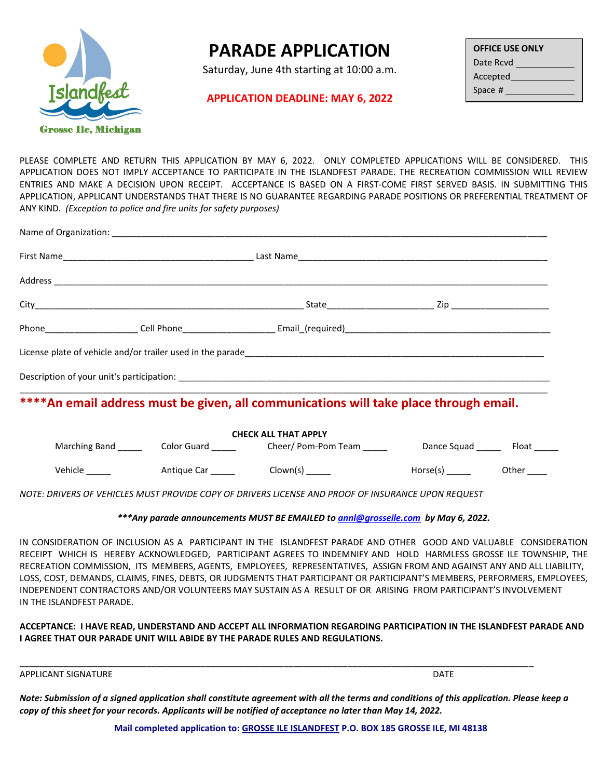

## **PARADE APPLICATION**

Saturday, June 4th starting at 10:00 a.m.

## **APPLICATION DEADLINE: MAY 6, 2022**

| <b>OFFICE USE ONLY</b> |  |  |  |  |  |  |  |
|------------------------|--|--|--|--|--|--|--|
| Date Rcvd              |  |  |  |  |  |  |  |
| Accepted               |  |  |  |  |  |  |  |
| Space #                |  |  |  |  |  |  |  |

PLEASE COMPLETE AND RETURN THIS APPLICATION BY MAY 6, 2022. ONLY COMPLETED APPLICATIONS WILL BE CONSIDERED. THIS APPLICATION DOES NOT IMPLY ACCEPTANCE TO PARTICIPATE IN THE ISLANDFEST PARADE. THE RECREATION COMMISSION WILL REVIEW ENTRIES AND MAKE A DECISION UPON RECEIPT. ACCEPTANCE IS BASED ON A FIRST‐COME FIRST SERVED BASIS. IN SUBMITTING THIS APPLICATION, APPLICANT UNDERSTANDS THAT THERE IS NO GUARANTEE REGARDING PARADE POSITIONS OR PREFERENTIAL TREATMENT OF ANY KIND. *(Exception to police and fire units for safety purposes)*

| **** An email address must be given, all communications will take place through email. |  |  |                                                                                                                        |                  |  |  |  |
|----------------------------------------------------------------------------------------|--|--|------------------------------------------------------------------------------------------------------------------------|------------------|--|--|--|
| <b>CHECK ALL THAT APPLY</b>                                                            |  |  |                                                                                                                        |                  |  |  |  |
|                                                                                        |  |  | Marching Band ____________Color Guard _______________Cheer/ Pom-Pom Team ____________Dance Squad __________ Float ____ |                  |  |  |  |
|                                                                                        |  |  |                                                                                                                        | $Horse(s)$ Other |  |  |  |

*NOTE: DRIVERS OF VEHICLES MUST PROVIDE COPY OF DRIVERS LICENSE AND PROOF OF INSURANCE UPON REQUEST*

## *\*\*\*Any parade announcements MUST BE EMAILED to [annl@grosseile.com](mailto:annl@grosseile.com) by May 6, 2022.*

IN CONSIDERATION OF INCLUSION AS A PARTICIPANT IN THE ISLANDFEST PARADE AND OTHER GOOD AND VALUABLE CONSIDERATION RECEIPT WHICH IS HEREBY ACKNOWLEDGED, PARTICIPANT AGREES TO INDEMNIFY AND HOLD HARMLESS GROSSE ILE TOWNSHIP, THE RECREATION COMMISSION, ITS MEMBERS, AGENTS, EMPLOYEES, REPRESENTATIVES, ASSIGN FROM AND AGAINST ANY AND ALL LIABILITY, LOSS, COST, DEMANDS, CLAIMS, FINES, DEBTS, OR JUDGMENTS THAT PARTICIPANT OR PARTICIPANT'S MEMBERS, PERFORMERS, EMPLOYEES, INDEPENDENT CONTRACTORS AND/OR VOLUNTEERS MAY SUSTAIN AS A RESULT OF OR ARISING FROM PARTICIPANT'S INVOLVEMENT IN THE ISLANDFEST PARADE.

**ACCEPTANCE: I HAVE READ, UNDERSTAND AND ACCEPT ALL INFORMATION REGARDING PARTICIPATION IN THE ISLANDFEST PARADE AND I AGREE THAT OUR PARADE UNIT WILL ABIDE BY THE PARADE RULES AND REGULATIONS.**

APPLICANT SIGNATURE **DATE** 

*Note: Submission of a signed application shall constitute agreement with all the terms and conditions of this application. Please keep a copy of this sheet for your records. Applicants will be notified of acceptance no later than May 14, 2022.* 

\_\_\_\_\_\_\_\_\_\_\_\_\_\_\_\_\_\_\_\_\_\_\_\_\_\_\_\_\_\_\_\_\_\_\_\_\_\_\_\_\_\_\_\_\_\_\_\_\_\_\_\_\_\_\_\_\_\_\_\_\_\_\_\_\_\_\_\_\_\_\_\_\_\_\_\_\_\_\_\_\_\_\_\_\_\_\_\_\_\_\_\_\_\_\_\_\_\_\_\_\_\_\_\_\_

**Mail completed application to: GROSSE ILE ISLANDFEST P.O. BOX 185 GROSSE ILE, MI 48138**